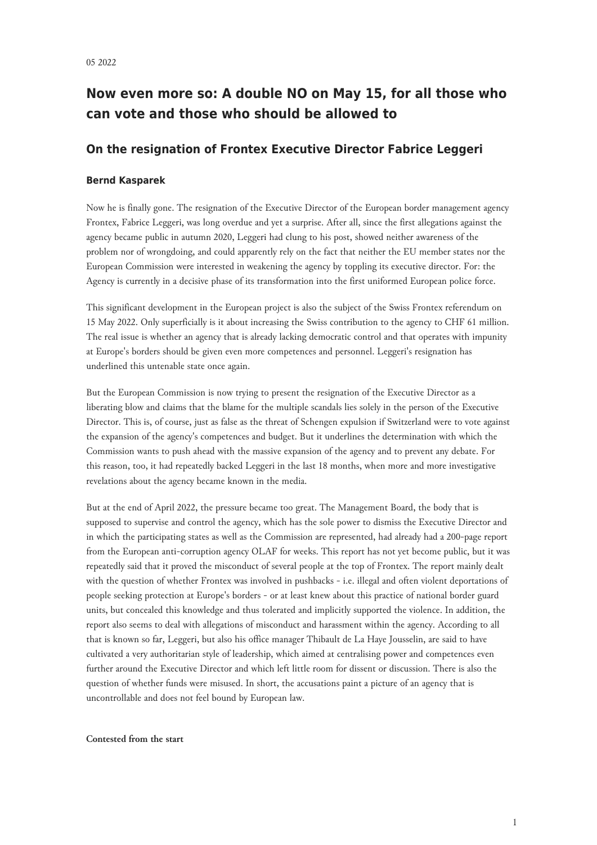# **Now even more so: A double NO on May 15, for all those who can vote and those who should be allowed to**

# **On the resignation of Frontex Executive Director Fabrice Leggeri**

# **Bernd Kasparek**

Now he is finally gone. The resignation of the Executive Director of the European border management agency Frontex, Fabrice Leggeri, was long overdue and yet a surprise. After all, since the first allegations against the agency became public in autumn 2020, Leggeri had clung to his post, showed neither awareness of the problem nor of wrongdoing, and could apparently rely on the fact that neither the EU member states nor the European Commission were interested in weakening the agency by toppling its executive director. For: the Agency is currently in a decisive phase of its transformation into the first uniformed European police force.

This significant development in the European project is also the subject of the Swiss Frontex referendum on 15 May 2022. Only superficially is it about increasing the Swiss contribution to the agency to CHF 61 million. The real issue is whether an agency that is already lacking democratic control and that operates with impunity at Europe's borders should be given even more competences and personnel. Leggeri's resignation has underlined this untenable state once again.

But the European Commission is now trying to present the resignation of the Executive Director as a liberating blow and claims that the blame for the multiple scandals lies solely in the person of the Executive Director. This is, of course, just as false as the threat of Schengen expulsion if Switzerland were to vote against the expansion of the agency's competences and budget. But it underlines the determination with which the Commission wants to push ahead with the massive expansion of the agency and to prevent any debate. For this reason, too, it had repeatedly backed Leggeri in the last 18 months, when more and more investigative revelations about the agency became known in the media.

But at the end of April 2022, the pressure became too great. The Management Board, the body that is supposed to supervise and control the agency, which has the sole power to dismiss the Executive Director and in which the participating states as well as the Commission are represented, had already had a 200-page report from the European anti-corruption agency OLAF for weeks. This report has not yet become public, but it was repeatedly said that it proved the misconduct of several people at the top of Frontex. The report mainly dealt with the question of whether Frontex was involved in pushbacks - i.e. illegal and often violent deportations of people seeking protection at Europe's borders - or at least knew about this practice of national border guard units, but concealed this knowledge and thus tolerated and implicitly supported the violence. In addition, the report also seems to deal with allegations of misconduct and harassment within the agency. According to all that is known so far, Leggeri, but also his office manager Thibault de La Haye Jousselin, are said to have cultivated a very authoritarian style of leadership, which aimed at centralising power and competences even further around the Executive Director and which left little room for dissent or discussion. There is also the question of whether funds were misused. In short, the accusations paint a picture of an agency that is uncontrollable and does not feel bound by European law.

## **Contested from the start**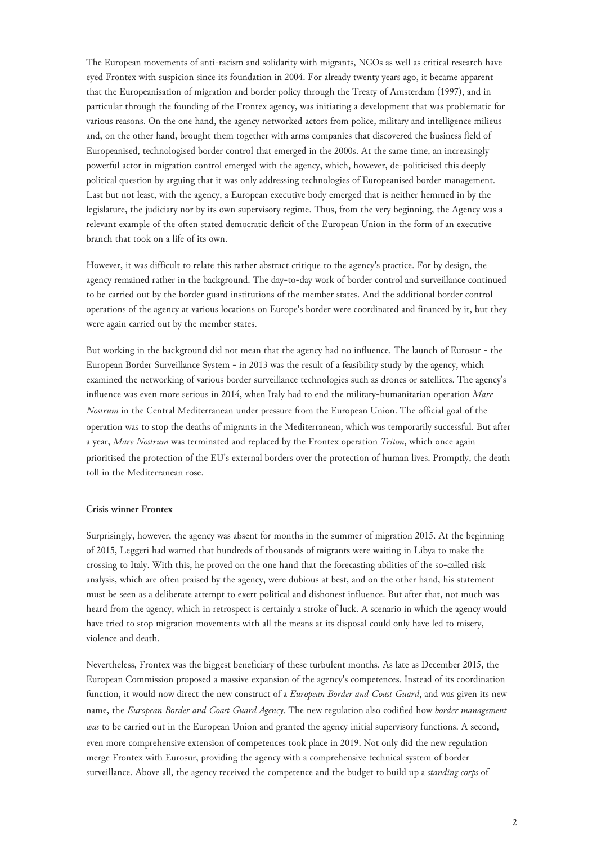The European movements of anti-racism and solidarity with migrants, NGOs as well as critical research have eyed Frontex with suspicion since its foundation in 2004. For already twenty years ago, it became apparent that the Europeanisation of migration and border policy through the Treaty of Amsterdam (1997), and in particular through the founding of the Frontex agency, was initiating a development that was problematic for various reasons. On the one hand, the agency networked actors from police, military and intelligence milieus and, on the other hand, brought them together with arms companies that discovered the business field of Europeanised, technologised border control that emerged in the 2000s. At the same time, an increasingly powerful actor in migration control emerged with the agency, which, however, de-politicised this deeply political question by arguing that it was only addressing technologies of Europeanised border management. Last but not least, with the agency, a European executive body emerged that is neither hemmed in by the legislature, the judiciary nor by its own supervisory regime. Thus, from the very beginning, the Agency was a relevant example of the often stated democratic deficit of the European Union in the form of an executive branch that took on a life of its own.

However, it was difficult to relate this rather abstract critique to the agency's practice. For by design, the agency remained rather in the background. The day-to-day work of border control and surveillance continued to be carried out by the border guard institutions of the member states. And the additional border control operations of the agency at various locations on Europe's border were coordinated and financed by it, but they were again carried out by the member states.

But working in the background did not mean that the agency had no influence. The launch of Eurosur - the European Border Surveillance System - in 2013 was the result of a feasibility study by the agency, which examined the networking of various border surveillance technologies such as drones or satellites. The agency's influence was even more serious in 2014, when Italy had to end the military-humanitarian operation *Mare Nostrum* in the Central Mediterranean under pressure from the European Union. The official goal of the operation was to stop the deaths of migrants in the Mediterranean, which was temporarily successful. But after a year, *Mare Nostrum* was terminated and replaced by the Frontex operation *Triton*, which once again prioritised the protection of the EU's external borders over the protection of human lives. Promptly, the death toll in the Mediterranean rose.

## **Crisis winner Frontex**

Surprisingly, however, the agency was absent for months in the summer of migration 2015. At the beginning of 2015, Leggeri had warned that hundreds of thousands of migrants were waiting in Libya to make the crossing to Italy. With this, he proved on the one hand that the forecasting abilities of the so-called risk analysis, which are often praised by the agency, were dubious at best, and on the other hand, his statement must be seen as a deliberate attempt to exert political and dishonest influence. But after that, not much was heard from the agency, which in retrospect is certainly a stroke of luck. A scenario in which the agency would have tried to stop migration movements with all the means at its disposal could only have led to misery, violence and death.

Nevertheless, Frontex was the biggest beneficiary of these turbulent months. As late as December 2015, the European Commission proposed a massive expansion of the agency's competences. Instead of its coordination function, it would now direct the new construct of a *European Border and Coast Guard*, and was given its new name, the *European Border and Coast Guard Agency*. The new regulation also codified how *border management was* to be carried out in the European Union and granted the agency initial supervisory functions. A second, even more comprehensive extension of competences took place in 2019. Not only did the new regulation merge Frontex with Eurosur, providing the agency with a comprehensive technical system of border surveillance. Above all, the agency received the competence and the budget to build up a *standing corps* of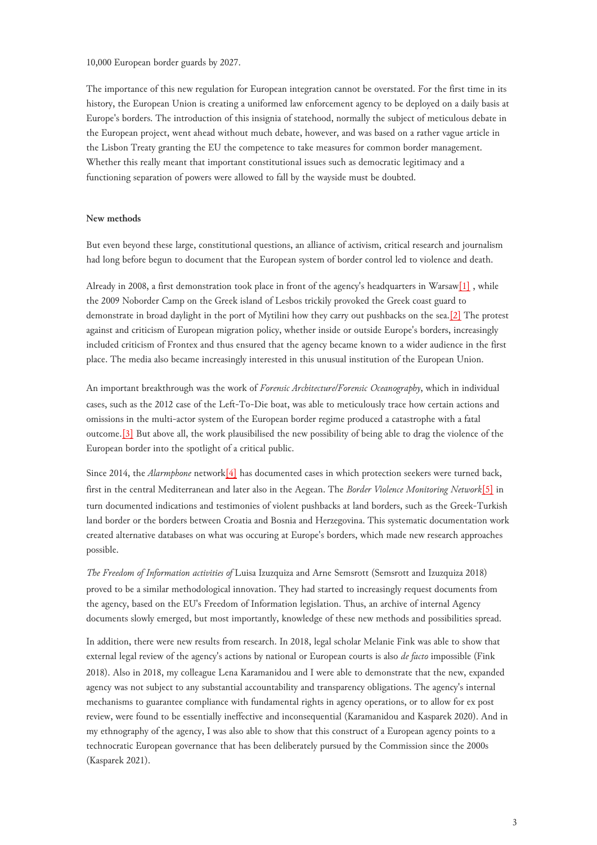10,000 European border guards by 2027.

The importance of this new regulation for European integration cannot be overstated. For the first time in its history, the European Union is creating a uniformed law enforcement agency to be deployed on a daily basis at Europe's borders. The introduction of this insignia of statehood, normally the subject of meticulous debate in the European project, went ahead without much debate, however, and was based on a rather vague article in the Lisbon Treaty granting the EU the competence to take measures for common border management. Whether this really meant that important constitutional issues such as democratic legitimacy and a functioning separation of powers were allowed to fall by the wayside must be doubted.

# **New methods**

But even beyond these large, constitutional questions, an alliance of activism, critical research and journalism had long before begun to document that the European system of border control led to violence and death.

<span id="page-2-0"></span>Already in 2008, a first demonstration took place in front of the agency's headquarters in Warsaw<sup>[1]</sup>, while the 2009 Noborder Camp on the Greek island of Lesbos trickily provoked the Greek coast guard to demonstrate in broad daylight in the port of Mytilini how they carry out pushbacks on the sea.[\[2\]](#page-6-1) The protest against and criticism of European migration policy, whether inside or outside Europe's borders, increasingly included criticism of Frontex and thus ensured that the agency became known to a wider audience in the first place. The media also became increasingly interested in this unusual institution of the European Union.

<span id="page-2-1"></span>An important breakthrough was the work of *Forensic Architecture/Forensic Oceanography*, which in individual cases, such as the 2012 case of the Left-To-Die boat, was able to meticulously trace how certain actions and omissions in the multi-actor system of the European border regime produced a catastrophe with a fatal outcome.[\[3\]](#page-6-2) But above all, the work plausibilised the new possibility of being able to drag the violence of the European border into the spotlight of a critical public.

<span id="page-2-2"></span>Since 2014, the *Alarmphone* network[\[4\]](#page-6-3) has documented cases in which protection seekers were turned back, first in the central Mediterranean and later also in the Aegean. The *Border Violence Monitoring Network*[\[5\]](#page-6-4) in turn documented indications and testimonies of violent pushbacks at land borders, such as the Greek-Turkish land border or the borders between Croatia and Bosnia and Herzegovina. This systematic documentation work created alternative databases on what was occuring at Europe's borders, which made new research approaches possible.

*The Freedom of Information activities of* Luisa Izuzquiza and Arne Semsrott (Semsrott and Izuzquiza 2018) proved to be a similar methodological innovation. They had started to increasingly request documents from the agency, based on the EU's Freedom of Information legislation. Thus, an archive of internal Agency documents slowly emerged, but most importantly, knowledge of these new methods and possibilities spread.

In addition, there were new results from research. In 2018, legal scholar Melanie Fink was able to show that external legal review of the agency's actions by national or European courts is also *de facto* impossible (Fink 2018). Also in 2018, my colleague Lena Karamanidou and I were able to demonstrate that the new, expanded agency was not subject to any substantial accountability and transparency obligations. The agency's internal mechanisms to guarantee compliance with fundamental rights in agency operations, or to allow for ex post review, were found to be essentially ineffective and inconsequential (Karamanidou and Kasparek 2020). And in my ethnography of the agency, I was also able to show that this construct of a European agency points to a technocratic European governance that has been deliberately pursued by the Commission since the 2000s (Kasparek 2021).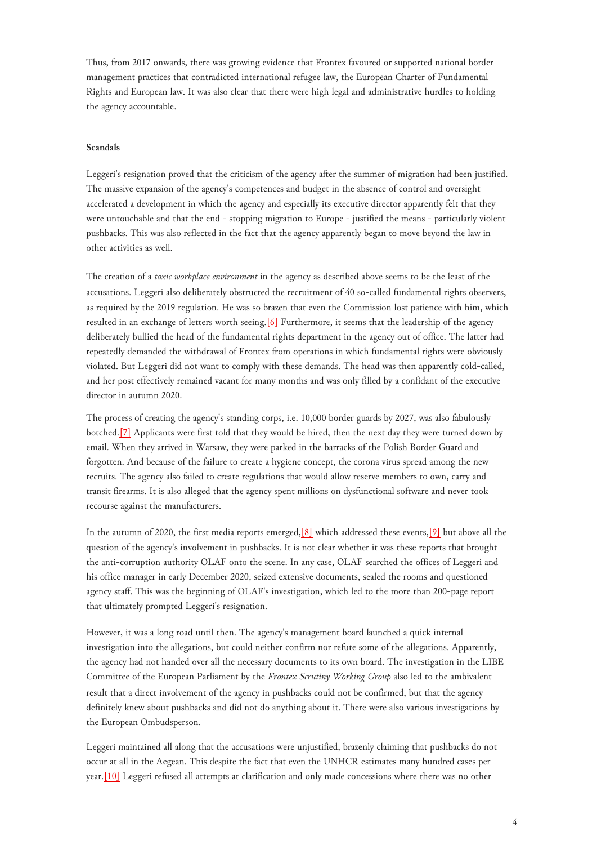Thus, from 2017 onwards, there was growing evidence that Frontex favoured or supported national border management practices that contradicted international refugee law, the European Charter of Fundamental Rights and European law. It was also clear that there were high legal and administrative hurdles to holding the agency accountable.

### **Scandals**

Leggeri's resignation proved that the criticism of the agency after the summer of migration had been justified. The massive expansion of the agency's competences and budget in the absence of control and oversight accelerated a development in which the agency and especially its executive director apparently felt that they were untouchable and that the end - stopping migration to Europe - justified the means - particularly violent pushbacks. This was also reflected in the fact that the agency apparently began to move beyond the law in other activities as well.

<span id="page-3-0"></span>The creation of a *toxic workplace environment* in the agency as described above seems to be the least of the accusations. Leggeri also deliberately obstructed the recruitment of 40 so-called fundamental rights observers, as required by the 2019 regulation. He was so brazen that even the Commission lost patience with him, which resulted in an exchange of letters worth seeing.[\[6\]](#page-6-5) Furthermore, it seems that the leadership of the agency deliberately bullied the head of the fundamental rights department in the agency out of office. The latter had repeatedly demanded the withdrawal of Frontex from operations in which fundamental rights were obviously violated. But Leggeri did not want to comply with these demands. The head was then apparently cold-called, and her post effectively remained vacant for many months and was only filled by a confidant of the executive director in autumn 2020.

<span id="page-3-1"></span>The process of creating the agency's standing corps, i.e. 10,000 border guards by 2027, was also fabulously botched[.\[7\]](#page-6-6) Applicants were first told that they would be hired, then the next day they were turned down by email. When they arrived in Warsaw, they were parked in the barracks of the Polish Border Guard and forgotten. And because of the failure to create a hygiene concept, the corona virus spread among the new recruits. The agency also failed to create regulations that would allow reserve members to own, carry and transit firearms. It is also alleged that the agency spent millions on dysfunctional software and never took recourse against the manufacturers.

<span id="page-3-2"></span>In the autumn of 2020, the first media reports emerged,  $[8]$  which addressed these events,  $[9]$  but above all the question of the agency's involvement in pushbacks. It is not clear whether it was these reports that brought the anti-corruption authority OLAF onto the scene. In any case, OLAF searched the offices of Leggeri and his office manager in early December 2020, seized extensive documents, sealed the rooms and questioned agency staff. This was the beginning of OLAF's investigation, which led to the more than 200-page report that ultimately prompted Leggeri's resignation.

However, it was a long road until then. The agency's management board launched a quick internal investigation into the allegations, but could neither confirm nor refute some of the allegations. Apparently, the agency had not handed over all the necessary documents to its own board. The investigation in the LIBE Committee of the European Parliament by the *Frontex Scrutiny Working Group* also led to the ambivalent result that a direct involvement of the agency in pushbacks could not be confirmed, but that the agency definitely knew about pushbacks and did not do anything about it. There were also various investigations by the European Ombudsperson.

<span id="page-3-3"></span>Leggeri maintained all along that the accusations were unjustified, brazenly claiming that pushbacks do not occur at all in the Aegean. This despite the fact that even the UNHCR estimates many hundred cases per year.[\[10\]](#page-6-9) Leggeri refused all attempts at clarification and only made concessions where there was no other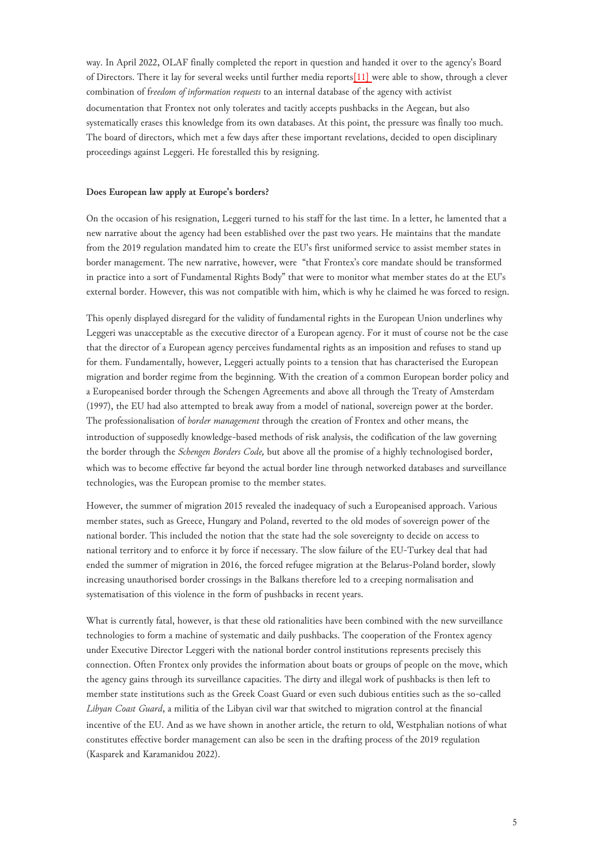way. In April 2022, OLAF finally completed the report in question and handed it over to the agency's Board of Directors. There it lay for several weeks until further media reports[\[11\] w](#page-6-10)ere able to show, through a clever combination of f*reedom of information requests* to an internal database of the agency with activist documentation that Frontex not only tolerates and tacitly accepts pushbacks in the Aegean, but also systematically erases this knowledge from its own databases. At this point, the pressure was finally too much. The board of directors, which met a few days after these important revelations, decided to open disciplinary proceedings against Leggeri. He forestalled this by resigning.

#### **Does European law apply at Europe's borders?**

On the occasion of his resignation, Leggeri turned to his staff for the last time. In a letter, he lamented that a new narrative about the agency had been established over the past two years. He maintains that the mandate from the 2019 regulation mandated him to create the EU's first uniformed service to assist member states in border management. The new narrative, however, were "that Frontex's core mandate should be transformed in practice into a sort of Fundamental Rights Body" that were to monitor what member states do at the EU's external border. However, this was not compatible with him, which is why he claimed he was forced to resign.

This openly displayed disregard for the validity of fundamental rights in the European Union underlines why Leggeri was unacceptable as the executive director of a European agency. For it must of course not be the case that the director of a European agency perceives fundamental rights as an imposition and refuses to stand up for them. Fundamentally, however, Leggeri actually points to a tension that has characterised the European migration and border regime from the beginning. With the creation of a common European border policy and a Europeanised border through the Schengen Agreements and above all through the Treaty of Amsterdam (1997), the EU had also attempted to break away from a model of national, sovereign power at the border. The professionalisation of *border management* through the creation of Frontex and other means, the introduction of supposedly knowledge-based methods of risk analysis, the codification of the law governing the border through the *Schengen Borders Code,* but above all the promise of a highly technologised border, which was to become effective far beyond the actual border line through networked databases and surveillance technologies, was the European promise to the member states.

However, the summer of migration 2015 revealed the inadequacy of such a Europeanised approach. Various member states, such as Greece, Hungary and Poland, reverted to the old modes of sovereign power of the national border. This included the notion that the state had the sole sovereignty to decide on access to national territory and to enforce it by force if necessary. The slow failure of the EU-Turkey deal that had ended the summer of migration in 2016, the forced refugee migration at the Belarus-Poland border, slowly increasing unauthorised border crossings in the Balkans therefore led to a creeping normalisation and systematisation of this violence in the form of pushbacks in recent years.

What is currently fatal, however, is that these old rationalities have been combined with the new surveillance technologies to form a machine of systematic and daily pushbacks. The cooperation of the Frontex agency under Executive Director Leggeri with the national border control institutions represents precisely this connection. Often Frontex only provides the information about boats or groups of people on the move, which the agency gains through its surveillance capacities. The dirty and illegal work of pushbacks is then left to member state institutions such as the Greek Coast Guard or even such dubious entities such as the so-called *Libyan Coast Guard*, a militia of the Libyan civil war that switched to migration control at the financial incentive of the EU. And as we have shown in another article, the return to old, Westphalian notions of what constitutes effective border management can also be seen in the drafting process of the 2019 regulation (Kasparek and Karamanidou 2022).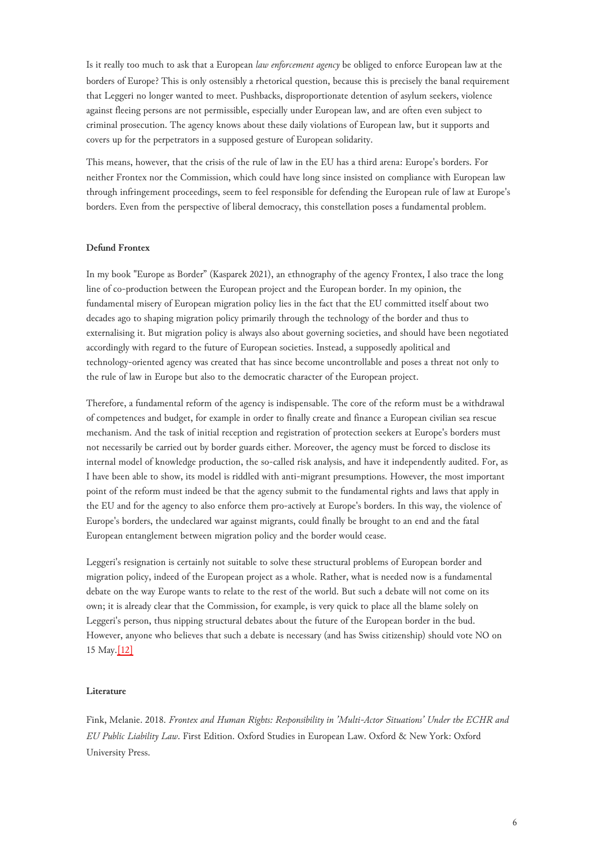Is it really too much to ask that a European *law enforcement agency* be obliged to enforce European law at the borders of Europe? This is only ostensibly a rhetorical question, because this is precisely the banal requirement that Leggeri no longer wanted to meet. Pushbacks, disproportionate detention of asylum seekers, violence against fleeing persons are not permissible, especially under European law, and are often even subject to criminal prosecution. The agency knows about these daily violations of European law, but it supports and covers up for the perpetrators in a supposed gesture of European solidarity.

This means, however, that the crisis of the rule of law in the EU has a third arena: Europe's borders. For neither Frontex nor the Commission, which could have long since insisted on compliance with European law through infringement proceedings, seem to feel responsible for defending the European rule of law at Europe's borders. Even from the perspective of liberal democracy, this constellation poses a fundamental problem.

# **Defund Frontex**

In my book "Europe as Border" (Kasparek 2021), an ethnography of the agency Frontex, I also trace the long line of co-production between the European project and the European border. In my opinion, the fundamental misery of European migration policy lies in the fact that the EU committed itself about two decades ago to shaping migration policy primarily through the technology of the border and thus to externalising it. But migration policy is always also about governing societies, and should have been negotiated accordingly with regard to the future of European societies. Instead, a supposedly apolitical and technology-oriented agency was created that has since become uncontrollable and poses a threat not only to the rule of law in Europe but also to the democratic character of the European project.

Therefore, a fundamental reform of the agency is indispensable. The core of the reform must be a withdrawal of competences and budget, for example in order to finally create and finance a European civilian sea rescue mechanism. And the task of initial reception and registration of protection seekers at Europe's borders must not necessarily be carried out by border guards either. Moreover, the agency must be forced to disclose its internal model of knowledge production, the so-called risk analysis, and have it independently audited. For, as I have been able to show, its model is riddled with anti-migrant presumptions. However, the most important point of the reform must indeed be that the agency submit to the fundamental rights and laws that apply in the EU and for the agency to also enforce them pro-actively at Europe's borders. In this way, the violence of Europe's borders, the undeclared war against migrants, could finally be brought to an end and the fatal European entanglement between migration policy and the border would cease.

<span id="page-5-0"></span>Leggeri's resignation is certainly not suitable to solve these structural problems of European border and migration policy, indeed of the European project as a whole. Rather, what is needed now is a fundamental debate on the way Europe wants to relate to the rest of the world. But such a debate will not come on its own; it is already clear that the Commission, for example, is very quick to place all the blame solely on Leggeri's person, thus nipping structural debates about the future of the European border in the bud. However, anyone who believes that such a debate is necessary (and has Swiss citizenship) should vote NO on 15 May.[\[12\]](#page-6-11)

# **Literature**

Fink, Melanie. 2018. *Frontex and Human Rights: Responsibility in 'Multi-Actor Situations' Under the ECHR and EU Public Liability Law*. First Edition. Oxford Studies in European Law. Oxford & New York: Oxford University Press.